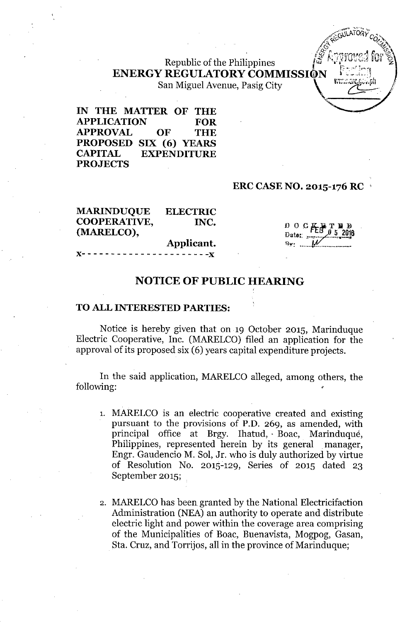Republic of the Philippines **ENERGY REGULATORY COMMISSI@N [-:**~;:'l

San Miguel Avenue, Pasig City

**IN THE MATTER OF THE APPLICATION FOR APPROVAL OF THE PROPOSED SIX (6) YEARS CAPITAL EXPENDITURE PROJECTS**

# **ERC CASE NO. 2015-176 RC '**

| <b>MARINDUQUE</b>   | <b>ELECTRIC</b> |
|---------------------|-----------------|
| <b>COOPERATIVE,</b> | INC.            |
| (MARELCO),          |                 |
|                     | Applicant.      |
|                     |                 |

 $0 0 G_{\text{F1}}$ 

 $A$ ( $G$ <sup>ULAI URY</sup>  $C$ <sub>O</sub>  $\sqrt{\alpha}$  and  $\alpha$ 

z.

## **NOTICE OF PUBLIC HEARING**

#### **TO ALL INTERESTED PARTIES:**

Notice is hereby given that on 19 October 2015, Marinduque Electric Cooperative, Inc. (MARELCO) filed an application for the approval of its proposed six (6) years capital expenditure projects.

In the said application, MARELCO alleged, among others, the following:

- 1. MARELCO is an electric cooperative created and existing pursuant to the provisions of P.D. 269, as amended, with principal office at Brgy. Ihatud, Boac, Marinduque, Philippines, represented herein by its general manager, Engr. Gaudencio M. Sol, Jr. who is duly authorized by virtue of Resolution No. 2015~129, Series of 2015 dated 23 September 2015;
- 2. MARELCO has been granted by the National Electricifaction Administration (NEA) an authority to operate and distribute electric light and power within the coverage area comprising of the Municipalities of Boac, Buenavista, Mogpog, Gasan, Sta. Cruz, and Torrijos, all in the province of Marinduque;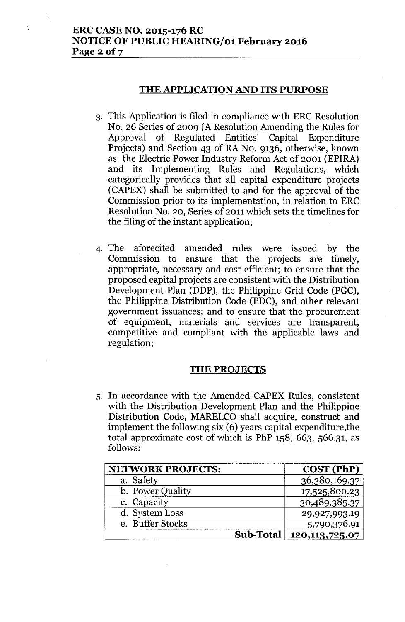# **ERC CASE NO. 2015-176 RC NOTICE OF PUBLIC HEARING/01 February 2016 Page20f7**

## **THE APPLICATION AND ITS PURPOSE**

- 3. This Application is filed in compliance with ERC Resolution No. 26 Series of 2009 (A Resolution Amending the Rules for Approval of Regulated Entities' Capital Expenditure Projects) and Section 43 of RA No. 9136, otherwise, known as the Electric Power Industry Reform Act of 2001 (EPIRA) and its Implementing Rules and Regulations, which categorically provides that all capital expenditure projects (CAPEX) shall be submitted to and for the approval of the Commission prior to its implementation, in relation to ERC Resolution No. 20, Series of 2011which sets the timelines for the filing of the instant application;
- 4. The aforecited amended rules were issued by the Commission to ensure that the projects are timely, appropriate, necessary and cost efficient; to ensure that the proposed capital projects are consistent with the Distribution Development Plan (DDP), the Philippine Grid Code (PGC), the Philippine Distribution Code (PDC), and other relevant government issuances; and to ensure that the procurement of equipment, materials and services are transparent, competitive and compliant with the applicable laws and regulation;

### **THE PROJECTS**

5. In accordance with the Amended CAPEX Rules, consistent with the Distribution Development Plan and the Philippine Distribution Code, MARELCO shall acquire, construct and implement the following six (6) years capital expenditure,the total approximate cost of which is PhP 158, 663, 566.31, as follows:

| <b>NETWORK PROJECTS:</b> |                  | COST (PhP)       |
|--------------------------|------------------|------------------|
| a. Safety                |                  | 36,380,169.37    |
| b. Power Quality         |                  | 17,525,800.23    |
| c. Capacity              |                  | 30,489,385.37    |
| d. System Loss           |                  | 29,927,993.19    |
| e. Buffer Stocks         |                  | 5,790,376.91     |
|                          | <b>Sub-Total</b> | 120, 113, 725.07 |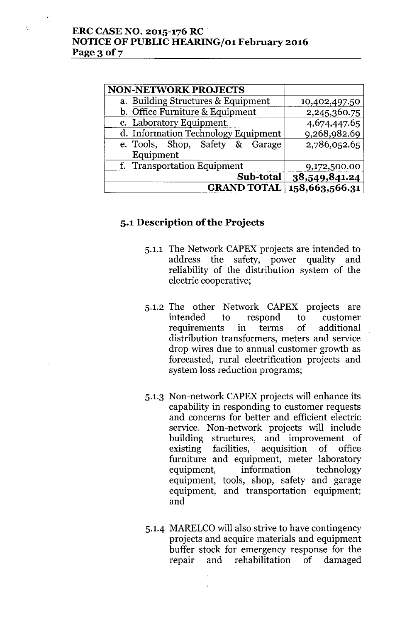| <b>NON-NETWORK PROJECTS</b>         |                |
|-------------------------------------|----------------|
| a. Building Structures & Equipment  | 10,402,497.50  |
| b. Office Furniture & Equipment     | 2,245,360.75   |
| c. Laboratory Equipment             | 4,674,447.65   |
| d. Information Technology Equipment | 9,268,982.69   |
| e. Tools, Shop, Safety & Garage     | 2,786,052.65   |
| Equipment                           |                |
| f. Transportation Equipment         | 9,172,500.00   |
| Sub-total                           | 38,549,841.24  |
| <b>GRAND TOTAL</b>                  | 158,663,566.31 |

# **5.1 Description** of the **Projects**

- 5.1.1 The Network CAPEX projects are intended to address the safety, power quality and reliability of the distribution system of the electric cooperative;
- 5.1.2 The other Network CAPEX projects are intended to respond to customer requirements in terms of additional distribution transformers, meters and service drop wires due to annual customer growth as forecasted, rural electrification projects and system loss reduction programs;
- 5.1.3 Non-network CAPEX projects will enhance its capability in responding to customer requests and concerns for better and efficient electric service. Non-network projects will include building structures, and improvement of existing facilities, acquisition of office furniture and equipment, meter laboratory equipment, information technology equipment, tools, shop, safety and garage equipment, and transportation equipment; and
- 5.1.4 MARELCO will also strive to have contingency projects and acquire materials and equipment buffer stock for emergency response for the repair and rehabilitation of damaged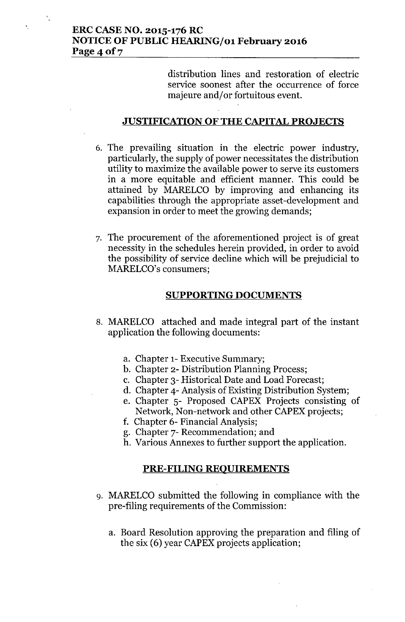# **ERC CASE NO. 2015-176 RC NOTICE OF PUBLIC HEARING/01 February 2016 Page40f7**

distribution lines and restoration of electric service soonest after the occurrence of force majeure and/or fortuitous event.

### **JUSTIFICATION OF THE CAPITAL PROJECTS**

- 6. The prevailing situation in the electric power industry, particularly, the supply of power necessitates the distribution utility to maximize the available power to serve its customers in a more equitable and efficient manner. This could be attained by MARELCO by improving and enhancing its capabilities through the appropriate asset-development and expansion in order to meet the growing demands;
- 7. The procurement of the aforementioned project is of great necessity in the schedules herein provided, in order to avoid the possibility of service decline which will be prejudicial to MARELCO's consumers;

### **SUPPORTING DOCUMENTS**

- 8. MARELCO attached and made integral part of the instant application the following documents:
	- a. Chapter 1- Executive Summary;
	- b. Chapter 2- Distribution Planning Process;
	- c. Chapter 3- Historical Date and Load Forecast;
	- d. Chapter 4- Analysis of Existing Distribution System;
	- e. Chapter 5- Proposed CAPEX Projects consisting of Network, Non-network and other CAPEX projects;
	- f. Chapter 6- Financial Analysis;
	- g. Chapter 7- Recommendation; and
	- h. Various Annexes to further support the application.

#### **PRE-FILING REQUIREMENTS**

- 9. MARELCO submitted the following in compliance with the pre-filing requirements of the Commission:
	- a. Board Resolution approving the preparation and filing of the six (6) year CAPEX projects application;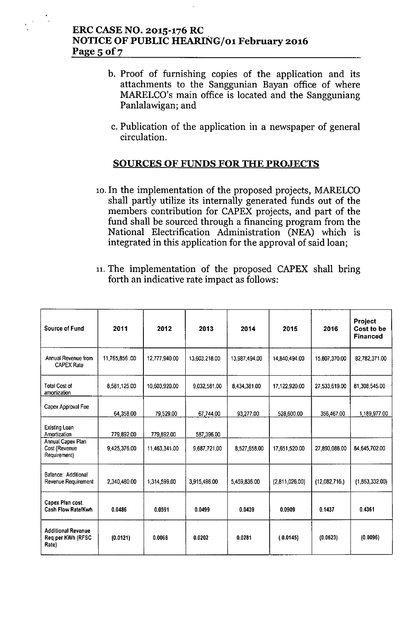# ERC CASE NO. 2015-176 RC NOTICE OF PUBLIC HEARING/01 February 2016 Page 5 of 7

- b. Proof of furnishing copies of the application and its attachments to the Sanggunian Bayan office of where MARELCO's main office is located and the Sangguniang Panlalawigan; and
	- c. Publication of the application in a newspaper of general circulation.

# SOURCES OF FUNDS FOR THE PROJECTS

- 10. In the implementation of the proposed projects, MARELCO shall partly utilize its internally generated funds out of the members contribution for CAPEX projects, and part of the fund shall be sourced through a financing program from the National Electrification Administration (NEA) which is integrated in this application for the approval of said loan;
- 11. The implementation of the proposed CAPEX shall bring forth an indicative rate impact as follows:

| Source of Fund                                                      | 2011                       | 2012                        | 2013                       | 2014          | 2015           | 2016          | <b>Project</b><br>Cost to be<br><b>Financed</b> |
|---------------------------------------------------------------------|----------------------------|-----------------------------|----------------------------|---------------|----------------|---------------|-------------------------------------------------|
| Annual Revenue from<br><b>CAPEX Rate</b>                            | 11,765,856.00              | 12,777,940.00               | 13,603,218.00              | 13,987,494.00 | 14,840,494.00  | 15,807,370.00 | 82,782,371.00                                   |
| <b>Total Cost of</b><br>amortization                                | 8,581,125.00               | 10,603,920.00               | 9,032,581.00               | 8,434,381.00  | 17,122,920.00  | 27,533,619.00 | 81,308,545.00                                   |
| Capex Approval Fee                                                  | 64,358.00                  | 79 529.00                   | 67,744.00                  | 93,277.00     | 528,600.00     | 356,467.00    | 1,189,977.00                                    |
| Existing Loan<br>Amortization<br>Annual Capex Plan<br>Cost (Revenue | 779,892.00<br>9,425,376.00 | 779,892.00<br>11,463,341.00 | 587,396.00<br>9,687,721.00 | 8,527,658.00  | 17,651,520.00  | 27,890,086.00 | 84,645,702.00                                   |
| Requirement)<br>Balance: Additional<br>Revenue Requirement          | 2,340,480.00               | 1,314,599.00                | 3,915,496.00               | 5,459,836.00  | (2,811,026.00) | (12,082,716.) | (1,863,332.00)                                  |
| Capex Plan cost<br>Cash Flow Rate/Kwh                               | 0.0486                     | 0.0591                      | 0.0499                     | 0.0439        | 0.0909         | 0.1437        | 0.4361                                          |
| <b>Additional Revenue</b><br>Reg per KWh (RFSC<br>Rate)             | (0.0121)                   | 0.0068                      | 0.0202                     | 0.0281        | (0.0145)       | (0.0623)      | (0.0096)                                        |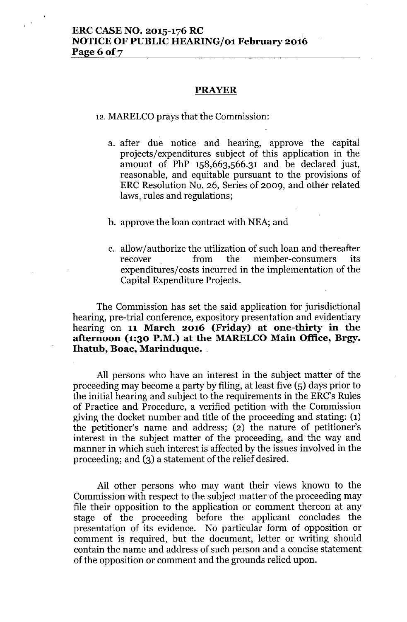#### **PRAYER**

12. MARELCO prays that the Commission:

a. after due notice and hearing, approve the capital projects/expenditures subject of this application in the amount of PhP 158,663,566.31 and be declared just, reasonable, and equitable pursuant to the provisions of ERC Resolution No. 26, Series of 2009, and other related laws, rules and regulations;

#### b. approve the loan contract with NEA; and

c. allow/authorize the utilization of such loan and thereafter recover from the member-consumers its expenditures/costs incurred in the implementation of the Capital Expenditure Projects.

The Commission has set the said application for jurisdictional hearing, pre-trial conference, expository presentation and evidentiary hearing on 11 March 2016 (Friday) at one-thirty in the afternoon (1:30 P.M.) at the MARELCO Main Office, Brgy. Ihatub, Boac, Marinduque.

All persons who have an interest in the subject matter of the proceeding may become a party by filing, at least five (5) days prior to the initial hearing and subject to the requirements in the ERC's Rules of Practice and Procedure, a verified petition with the Commission giving the docket number and title of the proceeding and stating: (1) the petitioner's name and address; (2) the nature of petitioner's interest in the subject matter of the proceeding, and the way and manner in which such interest is affected by the issues involved in the proceeding; and  $(3)$  a statement of the relief desired.

All other persons who may want their views known to the Commission with respect to the subject matter of the proceeding may file their opposition to the application or comment thereon at any stage of the proceeding before the applicant concludes the presentation of its evidence. No particular form of opposition or comment is required, but the document, letter or writing should contain the name and address of such person and a concise statement of the opposition or comment and the grounds relied upon.